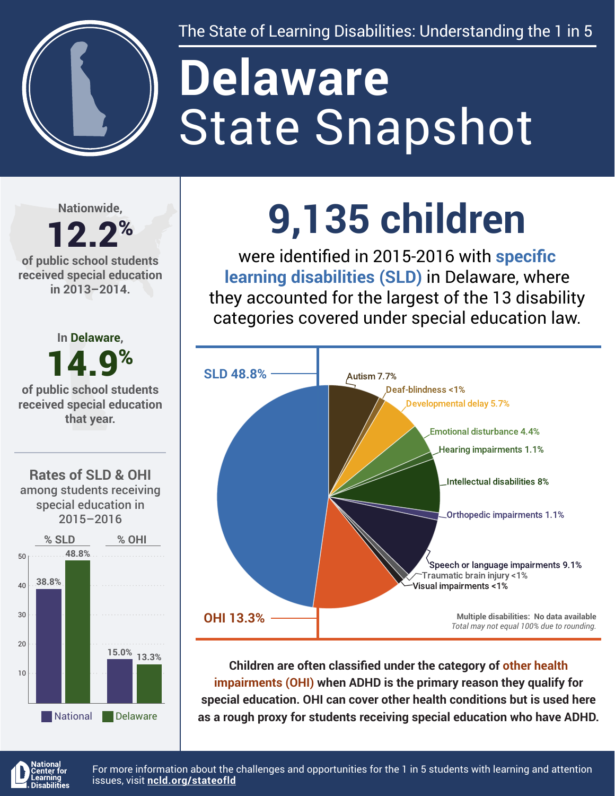

The State of Learning Disabilities: Understanding the 1 in 5

# State Snapshot **Delaware**

**Nationwide,**

### 12.2% **of public school students**

**received special education in 2013–2014.**



## **9,135 children**

were identified in 2015-2016 with **specific learning disabilities (SLD)** in Delaware, where they accounted for the largest of the 13 disability categories covered under special education law.



**Children are often classified under the category of other health impairments (OHI) when ADHD is the primary reason they qualify for special education. OHI can cover other health conditions but is used here as a rough proxy for students receiving special education who have ADHD.**



For more information about the challenges and opportunities for the 1 in 5 students with learning and attention issues, visit **[ncld.org/stateofld](http://ncld.org/stateofld)**